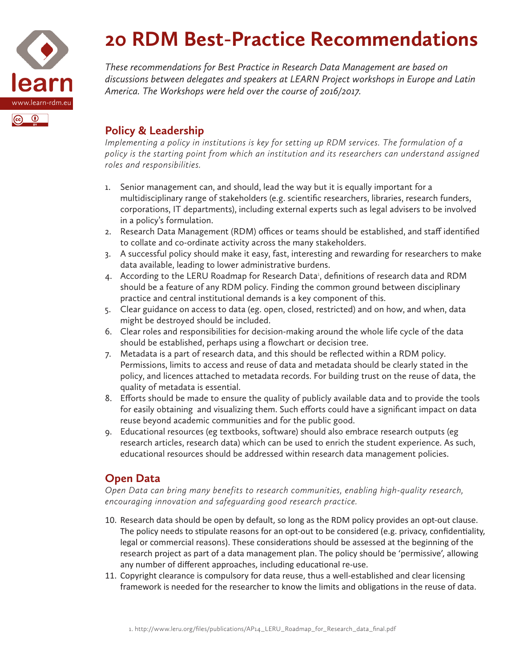

# **20 RDM Best-Practice Recommendations**

*These recommendations for Best Practice in Research Data Management are based on discussions between delegates and speakers at LEARN Project workshops in Europe and Latin America. The Workshops were held over the course of 2016/2017.*

## **Policy & Leadership**

*Implementing a policy in institutions is key for setting up RDM services. The formulation of a policy is the starting point from which an institution and its researchers can understand assigned roles and responsibilities.*

- 1. Senior management can, and should, lead the way but it is equally important for a multidisciplinary range of stakeholders (e.g. scientific researchers, libraries, research funders, corporations, IT departments), including external experts such as legal advisers to be involved in a policy's formulation.
- 2. Research Data Management (RDM) offices or teams should be established, and staff identified to collate and co-ordinate activity across the many stakeholders.
- 3. A successful policy should make it easy, fast, interesting and rewarding for researchers to make data available, leading to lower administrative burdens.
- 4. According to the LERU Roadmap for Research Data<sup>1</sup>, definitions of research data and RDM should be a feature of any RDM policy. Finding the common ground between disciplinary practice and central institutional demands is a key component of this.
- 5. Clear guidance on access to data (eg. open, closed, restricted) and on how, and when, data might be destroyed should be included.
- 6. Clear roles and responsibilities for decision-making around the whole life cycle of the data should be established, perhaps using a flowchart or decision tree.
- 7. Metadata is a part of research data, and this should be reflected within a RDM policy. Permissions, limits to access and reuse of data and metadata should be clearly stated in the policy, and licences attached to metadata records. For building trust on the reuse of data, the quality of metadata is essential.
- 8. Efforts should be made to ensure the quality of publicly available data and to provide the tools for easily obtaining and visualizing them. Such efforts could have a significant impact on data reuse beyond academic communities and for the public good.
- 9. Educational resources (eg textbooks, software) should also embrace research outputs (eg research articles, research data) which can be used to enrich the student experience. As such, educational resources should be addressed within research data management policies.

## **Open Data**

*Open Data can bring many benefits to research communities, enabling high-quality research, encouraging innovation and safeguarding good research practice.*

- 10. Research data should be open by default, so long as the RDM policy provides an opt-out clause. The policy needs to stipulate reasons for an opt-out to be considered (e.g. privacy, confidentiality, legal or commercial reasons). These considerations should be assessed at the beginning of the research project as part of a data management plan. The policy should be 'permissive', allowing any number of different approaches, including educational re-use.
- 11. Copyright clearance is compulsory for data reuse, thus a well-established and clear licensing framework is needed for the researcher to know the limits and obligations in the reuse of data.